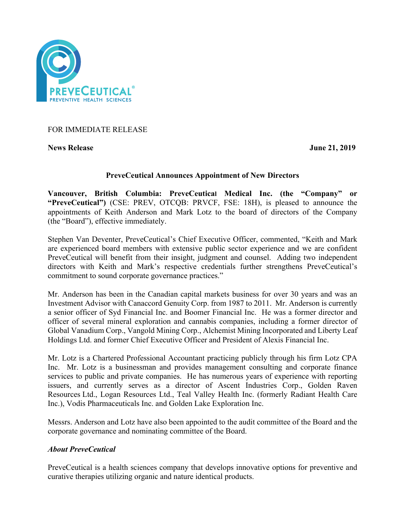

# FOR IMMEDIATE RELEASE

**News Release June 21, 2019**

# **PreveCeutical Announces Appointment of New Directors**

**Vancouver, British Columbia: PreveCeutical Medical Inc. (the "Company" or "PreveCeutical")** (CSE: PREV, OTCQB: PRVCF, FSE: 18H), is pleased to announce the appointments of Keith Anderson and Mark Lotz to the board of directors of the Company (the "Board"), effective immediately.

Stephen Van Deventer, PreveCeutical's Chief Executive Officer, commented, "Keith and Mark are experienced board members with extensive public sector experience and we are confident PreveCeutical will benefit from their insight, judgment and counsel. Adding two independent directors with Keith and Mark's respective credentials further strengthens PreveCeutical's commitment to sound corporate governance practices."

Mr. Anderson has been in the Canadian capital markets business for over 30 years and was an Investment Advisor with Canaccord Genuity Corp. from 1987 to 2011. Mr. Anderson is currently a senior officer of Syd Financial Inc. and Boomer Financial Inc. He was a former director and officer of several mineral exploration and cannabis companies, including a former director of Global Vanadium Corp., Vangold Mining Corp., Alchemist Mining Incorporated and Liberty Leaf Holdings Ltd. and former Chief Executive Officer and President of Alexis Financial Inc.

Mr. Lotz is a Chartered Professional Accountant practicing publicly through his firm Lotz CPA Inc. Mr. Lotz is a businessman and provides management consulting and corporate finance services to public and private companies. He has numerous years of experience with reporting issuers, and currently serves as a director of Ascent Industries Corp., Golden Raven Resources Ltd., Logan Resources Ltd., Teal Valley Health Inc. (formerly Radiant Health Care Inc.), Vodis Pharmaceuticals Inc. and Golden Lake Exploration Inc.

Messrs. Anderson and Lotz have also been appointed to the audit committee of the Board and the corporate governance and nominating committee of the Board.

# *About PreveCeutical*

PreveCeutical is a health sciences company that develops innovative options for preventive and curative therapies utilizing organic and nature identical products.